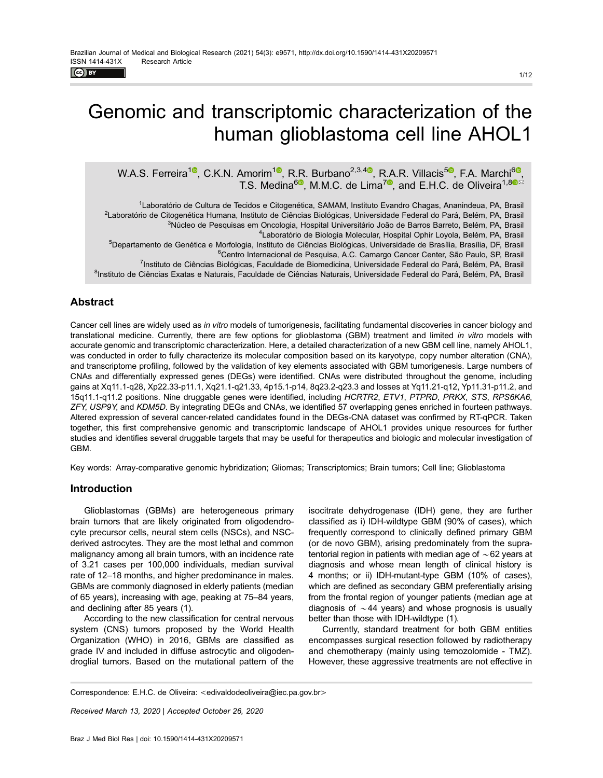$\left($ ce) EY

# Genomic and transcriptomic characterization of the human glioblastoma cell line AHOL1

W.A.S. Ferreira<sup>10</sup>, C.K.N. Amorim<sup>10</sup>, R.R. Burbano<sup>2,3,40</sup>, R.A.R. Villacis<sup>50</sup>, F.A. Marchi<sup>60</sup>, T.S. Medina<sup>6</sup>, M.M.C. de Lima<sup>7</sup>, and E.H.C. de Oliveira<sup>1,80</sup>

1 Laboratório de Cultura de Tecidos e Citogenética, SAMAM, Instituto Evandro Chagas, Ananindeua, PA, Brasil <sup>2</sup>Laboratório de Citogenética Humana, Instituto de Ciências Biológicas, Universidade Federal do Pará, Belém, PA, Brasil <sup>3</sup>Núcleo de Pesquisas em Oncologia, Hospital Universitário João de Barros Barreto, Belém, PA, Brasil 4 Laboratório de Biologia Molecular, Hospital Ophir Loyola, Belém, PA, Brasil <sup>5</sup>Departamento de Genética e Morfologia, Instituto de Ciências Biológicas, Universidade de Brasília, Brasília, DF, Brasil <sup>6</sup>Centro Internacional de Pesquisa, A.C. Camargo Cancer Center, São Paulo, SP, Brasil

<sup>7</sup>Instituto de Ciências Biológicas, Faculdade de Biomedicina, Universidade Federal do Pará, Belém, PA, Brasil

<sup>8</sup>Instituto de Ciências Exatas e Naturais, Faculdade de Ciências Naturais, Universidade Federal do Pará, Belém, PA, Brasil

# Abstract

Cancer cell lines are widely used as in vitro models of tumorigenesis, facilitating fundamental discoveries in cancer biology and translational medicine. Currently, there are few options for glioblastoma (GBM) treatment and limited in vitro models with accurate genomic and transcriptomic characterization. Here, a detailed characterization of a new GBM cell line, namely AHOL1, was conducted in order to fully characterize its molecular composition based on its karyotype, copy number alteration (CNA), and transcriptome profiling, followed by the validation of key elements associated with GBM tumorigenesis. Large numbers of CNAs and differentially expressed genes (DEGs) were identified. CNAs were distributed throughout the genome, including gains at Xq11.1-q28, Xp22.33-p11.1, Xq21.1-q21.33, 4p15.1-p14, 8q23.2-q23.3 and losses at Yq11.21-q12, Yp11.31-p11.2, and 15q11.1-q11.2 positions. Nine druggable genes were identified, including HCRTR2, ETV1, PTPRD, PRKX, STS, RPS6KA6, ZFY, USP9Y, and KDM5D. By integrating DEGs and CNAs, we identified 57 overlapping genes enriched in fourteen pathways. Altered expression of several cancer-related candidates found in the DEGs-CNA dataset was confirmed by RT-qPCR. Taken together, this first comprehensive genomic and transcriptomic landscape of AHOL1 provides unique resources for further studies and identifies several druggable targets that may be useful for therapeutics and biologic and molecular investigation of GBM.

Key words: Array-comparative genomic hybridization; Gliomas; Transcriptomics; Brain tumors; Cell line; Glioblastoma

# Introduction

Glioblastomas (GBMs) are heterogeneous primary brain tumors that are likely originated from oligodendrocyte precursor cells, neural stem cells (NSCs), and NSCderived astrocytes. They are the most lethal and common malignancy among all brain tumors, with an incidence rate of 3.21 cases per 100,000 individuals, median survival rate of 12–18 months, and higher predominance in males. GBMs are commonly diagnosed in elderly patients (median of 65 years), increasing with age, peaking at 75–84 years, and declining after 85 years (1).

According to the new classification for central nervous system (CNS) tumors proposed by the World Health Organization (WHO) in 2016, GBMs are classified as grade IV and included in diffuse astrocytic and oligodendroglial tumors. Based on the mutational pattern of the

isocitrate dehydrogenase (IDH) gene, they are further classified as i) IDH-wildtype GBM (90% of cases), which frequently correspond to clinically defined primary GBM (or de novo GBM), arising predominately from the supratentorial region in patients with median age of  $\sim$  62 years at diagnosis and whose mean length of clinical history is 4 months; or ii) IDH-mutant-type GBM (10% of cases), which are defined as secondary GBM preferentially arising from the frontal region of younger patients (median age at diagnosis of  $\sim$  44 years) and whose prognosis is usually better than those with IDH-wildtype (1).

Currently, standard treatment for both GBM entities encompasses surgical resection followed by radiotherapy and chemotherapy (mainly using temozolomide - TMZ). However, these aggressive treatments are not effective in

Correspondence: E.H.C. de Oliveira: <[edivaldodeoliveira@iec.pa.gov.br](mailto:edivaldodeoliveira@iec.pa.gov.br)>

Received March 13, 2020 | Accepted October 26, 2020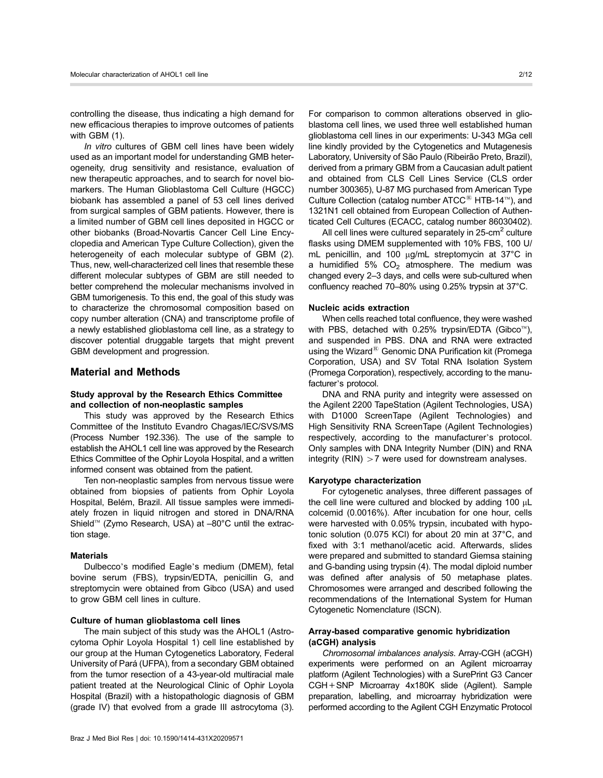controlling the disease, thus indicating a high demand for new efficacious therapies to improve outcomes of patients with GBM (1).

In vitro cultures of GBM cell lines have been widely used as an important model for understanding GMB heterogeneity, drug sensitivity and resistance, evaluation of new therapeutic approaches, and to search for novel biomarkers. The Human Glioblastoma Cell Culture (HGCC) biobank has assembled a panel of 53 cell lines derived from surgical samples of GBM patients. However, there is a limited number of GBM cell lines deposited in HGCC or other biobanks (Broad-Novartis Cancer Cell Line Encyclopedia and American Type Culture Collection), given the heterogeneity of each molecular subtype of GBM (2). Thus, new, well-characterized cell lines that resemble these different molecular subtypes of GBM are still needed to better comprehend the molecular mechanisms involved in GBM tumorigenesis. To this end, the goal of this study was to characterize the chromosomal composition based on copy number alteration (CNA) and transcriptome profile of a newly established glioblastoma cell line, as a strategy to discover potential druggable targets that might prevent GBM development and progression.

# Material and Methods

# Study approval by the Research Ethics Committee and collection of non-neoplastic samples

This study was approved by the Research Ethics Committee of the Instituto Evandro Chagas/IEC/SVS/MS (Process Number 192.336). The use of the sample to establish the AHOL1 cell line was approved by the Research Ethics Committee of the Ophir Loyola Hospital, and a written informed consent was obtained from the patient.

Ten non-neoplastic samples from nervous tissue were obtained from biopsies of patients from Ophir Loyola Hospital, Belém, Brazil. All tissue samples were immediately frozen in liquid nitrogen and stored in DNA/RNA Shield<sup>t (Zymo Research, USA) at  $-80^{\circ}$ C until the extrac-</sup> tion stage.

#### **Materials**

Dulbecco's modified Eagle's medium (DMEM), fetal bovine serum (FBS), trypsin/EDTA, penicillin G, and streptomycin were obtained from Gibco (USA) and used to grow GBM cell lines in culture.

# Culture of human glioblastoma cell lines

The main subject of this study was the AHOL1 (Astrocytoma Ophir Loyola Hospital 1) cell line established by our group at the Human Cytogenetics Laboratory, Federal University of Pará (UFPA), from a secondary GBM obtained from the tumor resection of a 43-year-old multiracial male patient treated at the Neurological Clinic of Ophir Loyola Hospital (Brazil) with a histopathologic diagnosis of GBM (grade IV) that evolved from a grade III astrocytoma (3).

For comparison to common alterations observed in glioblastoma cell lines, we used three well established human glioblastoma cell lines in our experiments: U-343 MGa cell line kindly provided by the Cytogenetics and Mutagenesis Laboratory, University of São Paulo (Ribeirão Preto, Brazil), derived from a primary GBM from a Caucasian adult patient and obtained from CLS Cell Lines Service (CLS order number 300365), U-87 MG purchased from American Type Culture Collection (catalog number  $ATCC^@$  HTB-14<sup>tM</sup>), and 1321N1 cell obtained from European Collection of Authenticated Cell Cultures (ECACC, catalog number 86030402).

All cell lines were cultured separately in  $25$ -cm<sup>2</sup> culture flasks using DMEM supplemented with 10% FBS, 100 U/ mL penicillin, and 100  $\mu$ g/mL streptomycin at 37°C in a humidified 5%  $CO<sub>2</sub>$  atmosphere. The medium was changed every 2–3 days, and cells were sub-cultured when confluency reached 70–80% using 0.25% trypsin at 37°C.

#### Nucleic acids extraction

When cells reached total confluence, they were washed with PBS, detached with  $0.25\%$  trypsin/EDTA (Gibco<sup>1M</sup>), and suspended in PBS. DNA and RNA were extracted using the Wizard $\mathbb B$  Genomic DNA Purification kit (Promega Corporation, USA) and SV Total RNA Isolation System (Promega Corporation), respectively, according to the manufacturer's protocol.

DNA and RNA purity and integrity were assessed on the Agilent 2200 TapeStation (Agilent Technologies, USA) with D1000 ScreenTape (Agilent Technologies) and High Sensitivity RNA ScreenTape (Agilent Technologies) respectively, according to the manufacturer's protocol. Only samples with DNA Integrity Number (DIN) and RNA integrity (RIN)  $>7$  were used for downstream analyses.

# Karyotype characterization

For cytogenetic analyses, three different passages of the cell line were cultured and blocked by adding 100 µL colcemid (0.0016%). After incubation for one hour, cells were harvested with 0.05% trypsin, incubated with hypotonic solution (0.075 KCl) for about 20 min at 37°C, and fixed with 3:1 methanol/acetic acid. Afterwards, slides were prepared and submitted to standard Giemsa staining and G-banding using trypsin (4). The modal diploid number was defined after analysis of 50 metaphase plates. Chromosomes were arranged and described following the recommendations of the International System for Human Cytogenetic Nomenclature (ISCN).

# Array-based comparative genomic hybridization (aCGH) analysis

Chromosomal imbalances analysis. Array-CGH (aCGH) experiments were performed on an Agilent microarray platform (Agilent Technologies) with a SurePrint G3 Cancer CGH+SNP Microarray 4x180K slide (Agilent). Sample preparation, labelling, and microarray hybridization were performed according to the Agilent CGH Enzymatic Protocol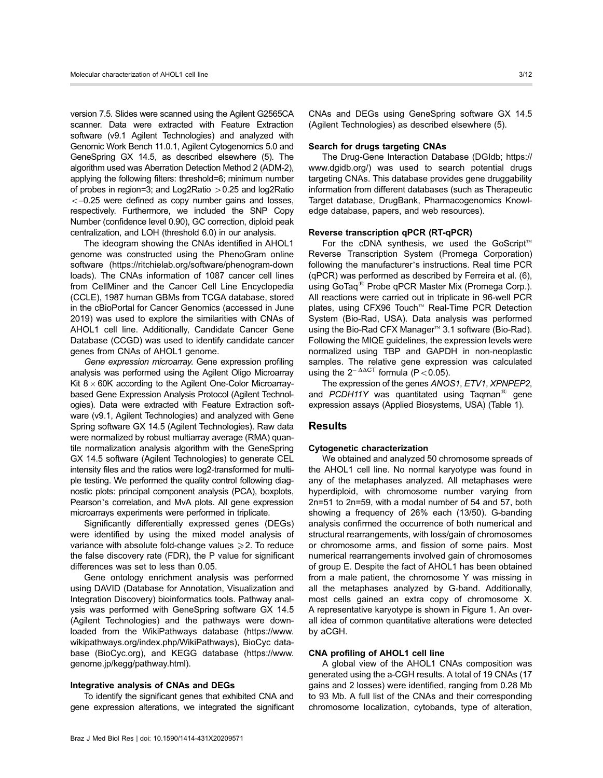version 7.5. Slides were scanned using the Agilent G2565CA scanner. Data were extracted with Feature Extraction software (v9.1 Agilent Technologies) and analyzed with Genomic Work Bench 11.0.1, Agilent Cytogenomics 5.0 and GeneSpring GX 14.5, as described elsewhere (5). The algorithm used was Aberration Detection Method 2 (ADM-2), applying the following filters: threshold=6; minimum number of probes in region=3; and Log2Ratio  $>0.25$  and log2Ratio  $<-0.25$  were defined as copy number gains and losses, respectively. Furthermore, we included the SNP Copy Number (confidence level 0.90), GC correction, diploid peak centralization, and LOH (threshold 6.0) in our analysis.

The ideogram showing the CNAs identified in AHOL1 genome was constructed using the PhenoGram online software ([https://ritchielab.org/software/phenogram-down](https://ritchielab.org/software/phenogram-downloads) [loads\)](https://ritchielab.org/software/phenogram-downloads). The CNAs information of 1087 cancer cell lines from CellMiner and the Cancer Cell Line Encyclopedia (CCLE), 1987 human GBMs from TCGA database, stored in the cBioPortal for Cancer Genomics (accessed in June 2019) was used to explore the similarities with CNAs of AHOL1 cell line. Additionally, Candidate Cancer Gene Database (CCGD) was used to identify candidate cancer genes from CNAs of AHOL1 genome.

Gene expression microarray. Gene expression profiling analysis was performed using the Agilent Oligo Microarray Kit  $8 \times 60$ K according to the Agilent One-Color Microarraybased Gene Expression Analysis Protocol (Agilent Technologies). Data were extracted with Feature Extraction software (v9.1, Agilent Technologies) and analyzed with Gene Spring software GX 14.5 (Agilent Technologies). Raw data were normalized by robust multiarray average (RMA) quantile normalization analysis algorithm with the GeneSpring GX 14.5 software (Agilent Technologies) to generate CEL intensity files and the ratios were log2-transformed for multiple testing. We performed the quality control following diagnostic plots: principal component analysis (PCA), boxplots, Pearson's correlation, and MvA plots. All gene expression microarrays experiments were performed in triplicate.

Significantly differentially expressed genes (DEGs) were identified by using the mixed model analysis of variance with absolute fold-change values  $\geq 2$ . To reduce the false discovery rate (FDR), the P value for significant differences was set to less than 0.05.

Gene ontology enrichment analysis was performed using DAVID (Database for Annotation, Visualization and Integration Discovery) bioinformatics tools. Pathway analysis was performed with GeneSpring software GX 14.5 (Agilent Technologies) and the pathways were downloaded from the WikiPathways database ([https://www.](https://www.wikipathways.org/index.php/WikiPathways) [wikipathways.org/index.php/WikiPathways](https://www.wikipathways.org/index.php/WikiPathways)), BioCyc database (BioCyc.org), and KEGG database ([https://www.](https://www.genome.jp/kegg/pathway.html) [genome.jp/kegg/pathway.html\)](https://www.genome.jp/kegg/pathway.html).

## Integrative analysis of CNAs and DEGs

To identify the significant genes that exhibited CNA and gene expression alterations, we integrated the significant CNAs and DEGs using GeneSpring software GX 14.5 (Agilent Technologies) as described elsewhere (5).

#### Search for drugs targeting CNAs

The Drug-Gene Interaction Database (DGIdb; [https://](https://www.dgidb.org/) [www.dgidb.org/](https://www.dgidb.org/)) was used to search potential drugs targeting CNAs. This database provides gene druggability information from different databases (such as Therapeutic Target database, DrugBank, Pharmacogenomics Knowledge database, papers, and web resources).

#### Reverse transcription qPCR (RT-qPCR)

For the cDNA synthesis, we used the GoScript<sup> $M$ </sup> Reverse Transcription System (Promega Corporation) following the manufacturer's instructions. Real time PCR (qPCR) was performed as described by Ferreira et al. (6), using GoTaq<sup>®</sup> Probe qPCR Master Mix (Promega Corp.). All reactions were carried out in triplicate in 96-well PCR plates, using CFX96 Touch™ Real-Time PCR Detection System (Bio-Rad, USA). Data analysis was performed using the Bio-Rad CFX Manager<sup>™</sup> 3.1 software (Bio-Rad). Following the MIQE guidelines, the expression levels were normalized using TBP and GAPDH in non-neoplastic samples. The relative gene expression was calculated using the  $2^{-\Delta\Delta CT}$  formula (P < 0.05).

The expression of the genes ANOS1, ETV1, XPNPEP2, and PCDH11Y was quantitated using Taqman<sup>®</sup> gene expression assays (Applied Biosystems, USA) (Table 1).

## Results

#### Cytogenetic characterization

We obtained and analyzed 50 chromosome spreads of the AHOL1 cell line. No normal karyotype was found in any of the metaphases analyzed. All metaphases were hyperdiploid, with chromosome number varying from 2n=51 to 2n=59, with a modal number of 54 and 57, both showing a frequency of 26% each (13/50). G-banding analysis confirmed the occurrence of both numerical and structural rearrangements, with loss/gain of chromosomes or chromosome arms, and fission of some pairs. Most numerical rearrangements involved gain of chromosomes of group E. Despite the fact of AHOL1 has been obtained from a male patient, the chromosome Y was missing in all the metaphases analyzed by G-band. Additionally, most cells gained an extra copy of chromosome X. A representative karyotype is shown in Figure 1. An overall idea of common quantitative alterations were detected by aCGH.

## CNA profiling of AHOL1 cell line

A global view of the AHOL1 CNAs composition was generated using the a-CGH results. A total of 19 CNAs (17 gains and 2 losses) were identified, ranging from 0.28 Mb to 93 Mb. A full list of the CNAs and their corresponding chromosome localization, cytobands, type of alteration,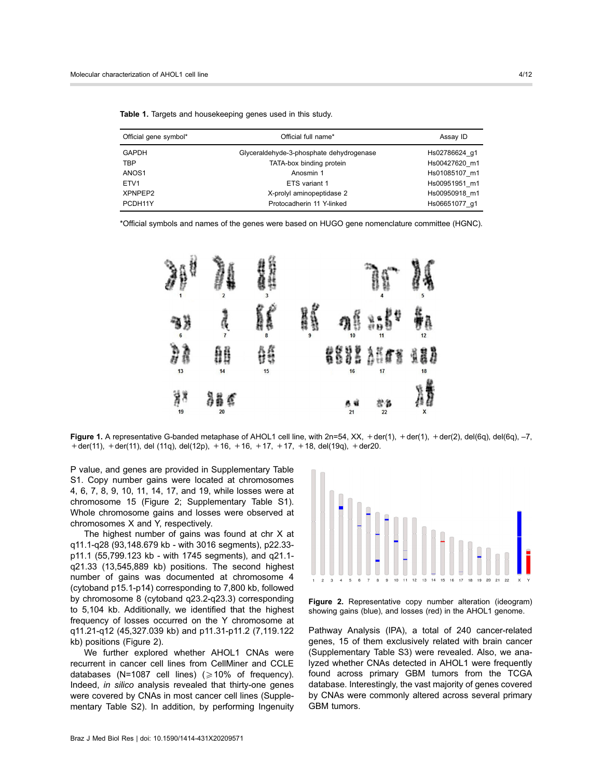| Official gene symbol* | Official full name*                      | Assay ID      |
|-----------------------|------------------------------------------|---------------|
| <b>GAPDH</b>          | Glyceraldehyde-3-phosphate dehydrogenase | Hs02786624 g1 |
| <b>TBP</b>            | TATA-box binding protein                 | Hs00427620 m1 |
| ANOS1                 | Anosmin 1                                | Hs01085107 m1 |
| ETV <sub>1</sub>      | ETS variant 1                            | Hs00951951 m1 |
| XPNPEP2               | X-prolyl aminopeptidase 2                | Hs00950918 m1 |
| PCDH11Y               | Protocadherin 11 Y-linked                | Hs06651077 g1 |

Table 1. Targets and housekeeping genes used in this study.

\*Official symbols and names of the genes were based on HUGO gene nomenclature committee (HGNC).



Figure 1. A representative G-banded metaphase of AHOL1 cell line, with  $2n=54$ , XX,  $+$ der(1),  $+$ der(1),  $+$ der(2), del(6q), del(6q), -7,  $+$  der(11),  $+$  der(11), del (11q), del(12p),  $+$  16,  $+$  16,  $+$  17,  $+$  17,  $+$  18, del(19q),  $+$  der20.

P value, and genes are provided in Supplementary Table S1. Copy number gains were located at chromosomes 4, 6, 7, 8, 9, 10, 11, 14, 17, and 19, while losses were at chromosome 15 (Figure 2; Supplementary Table S1). Whole chromosome gains and losses were observed at chromosomes X and Y, respectively.

The highest number of gains was found at chr X at q11.1-q28 (93,148.679 kb - with 3016 segments), p22.33 p11.1 (55,799.123 kb - with 1745 segments), and q21.1 q21.33 (13,545,889 kb) positions. The second highest number of gains was documented at chromosome 4 (cytoband p15.1-p14) corresponding to 7,800 kb, followed by chromosome 8 (cytoband q23.2-q23.3) corresponding to 5,104 kb. Additionally, we identified that the highest frequency of losses occurred on the Y chromosome at q11.21-q12 (45,327.039 kb) and p11.31-p11.2 (7,119.122 kb) positions (Figure 2).

We further explored whether AHOL1 CNAs were recurrent in cancer cell lines from CellMiner and CCLE databases (N=1087 cell lines) ( $\geq$ 10% of frequency). Indeed, in silico analysis revealed that thirty-one genes were covered by CNAs in most cancer cell lines (Supplementary Table S2). In addition, by performing Ingenuity



Figure 2. Representative copy number alteration (ideogram) showing gains (blue), and losses (red) in the AHOL1 genome.

Pathway Analysis (IPA), a total of 240 cancer-related genes, 15 of them exclusively related with brain cancer (Supplementary Table S3) were revealed. Also, we analyzed whether CNAs detected in AHOL1 were frequently found across primary GBM tumors from the TCGA database. Interestingly, the vast majority of genes covered by CNAs were commonly altered across several primary GBM tumors.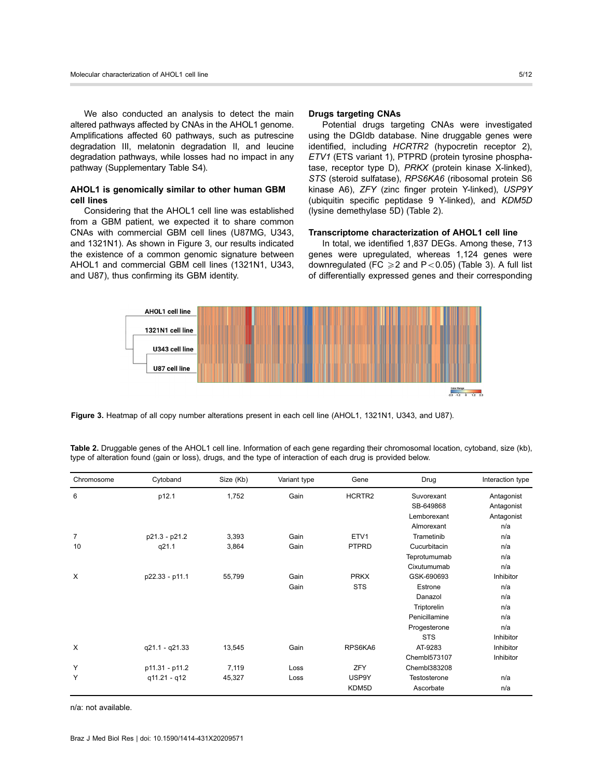We also conducted an analysis to detect the main altered pathways affected by CNAs in the AHOL1 genome. Amplifications affected 60 pathways, such as putrescine degradation III, melatonin degradation II, and leucine degradation pathways, while losses had no impact in any pathway (Supplementary Table S4).

# AHOL1 is genomically similar to other human GBM cell lines

Considering that the AHOL1 cell line was established from a GBM patient, we expected it to share common CNAs with commercial GBM cell lines (U87MG, U343, and 1321N1). As shown in Figure 3, our results indicated the existence of a common genomic signature between AHOL1 and commercial GBM cell lines (1321N1, U343, and U87), thus confirming its GBM identity.

## Drugs targeting CNAs

Potential drugs targeting CNAs were investigated using the DGIdb database. Nine druggable genes were identified, including HCRTR2 (hypocretin receptor 2), ETV1 (ETS variant 1), PTPRD (protein tyrosine phosphatase, receptor type D), PRKX (protein kinase X-linked), STS (steroid sulfatase), RPS6KA6 (ribosomal protein S6 kinase A6), ZFY (zinc finger protein Y-linked), USP9Y (ubiquitin specific peptidase 9 Y-linked), and KDM5D (lysine demethylase 5D) (Table 2).

## Transcriptome characterization of AHOL1 cell line

In total, we identified 1,837 DEGs. Among these, 713 genes were upregulated, whereas 1,124 genes were downregulated (FC  $\geq 2$  and P < 0.05) (Table 3). A full list of differentially expressed genes and their corresponding



Figure 3. Heatmap of all copy number alterations present in each cell line (AHOL1, 1321N1, U343, and U87).

| Table 2. Druggable genes of the AHOL1 cell line. Information of each gene regarding their chromosomal location, cytoband, size (kb), |  |
|--------------------------------------------------------------------------------------------------------------------------------------|--|
| type of alteration found (gain or loss), drugs, and the type of interaction of each drug is provided below.                          |  |

| Chromosome     | Cytoband       | Size (Kb) | Variant type | Gene               | Drug          | Interaction type |
|----------------|----------------|-----------|--------------|--------------------|---------------|------------------|
| 6              | p12.1          | 1,752     | Gain         | HCRTR <sub>2</sub> | Suvorexant    | Antagonist       |
|                |                |           |              |                    | SB-649868     | Antagonist       |
|                |                |           |              |                    | Lemborexant   | Antagonist       |
|                |                |           |              |                    | Almorexant    | n/a              |
| $\overline{7}$ | p21.3 - p21.2  | 3,393     | Gain         | ETV1               | Trametinib    | n/a              |
| 10             | q21.1          | 3,864     | Gain         | <b>PTPRD</b>       | Cucurbitacin  | n/a              |
|                |                |           |              |                    | Teprotumumab  | n/a              |
|                |                |           |              |                    | Cixutumumab   | n/a              |
| X              | p22.33 - p11.1 | 55,799    | Gain         | <b>PRKX</b>        | GSK-690693    | Inhibitor        |
|                |                |           | Gain         | <b>STS</b>         | Estrone       | n/a              |
|                |                |           |              |                    | Danazol       | n/a              |
|                |                |           |              |                    | Triptorelin   | n/a              |
|                |                |           |              |                    | Penicillamine | n/a              |
|                |                |           |              |                    | Progesterone  | n/a              |
|                |                |           |              |                    | <b>STS</b>    | Inhibitor        |
| X              | q21.1 - q21.33 | 13,545    | Gain         | RPS6KA6            | AT-9283       | Inhibitor        |
|                |                |           |              |                    | Chembl573107  | Inhibitor        |
| Y              | p11.31 - p11.2 | 7,119     | Loss         | ZFY                | Chembl383208  |                  |
| Y              | q11.21 - q12   | 45,327    | Loss         | USP9Y              | Testosterone  | n/a              |
|                |                |           |              | KDM5D              | Ascorbate     | n/a              |

n/a: not available.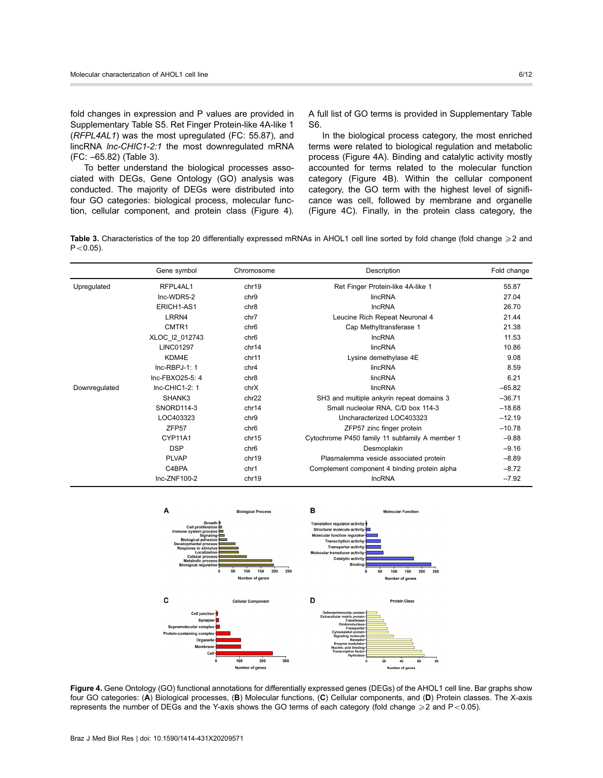fold changes in expression and P values are provided in Supplementary Table S5. Ret Finger Protein-like 4A-like 1 (RFPL4AL1) was the most upregulated (FC: 55.87), and lincRNA lnc-CHIC1-2:1 the most downregulated mRNA (FC: –65.82) (Table 3).

To better understand the biological processes associated with DEGs, Gene Ontology (GO) analysis was conducted. The majority of DEGs were distributed into four GO categories: biological process, molecular function, cellular component, and protein class (Figure 4). A full list of GO terms is provided in Supplementary Table S6.

In the biological process category, the most enriched terms were related to biological regulation and metabolic process (Figure 4A). Binding and catalytic activity mostly accounted for terms related to the molecular function category (Figure 4B). Within the cellular component category, the GO term with the highest level of significance was cell, followed by membrane and organelle (Figure 4C). Finally, in the protein class category, the

Table 3. Characteristics of the top 20 differentially expressed mRNAs in AHOL1 cell line sorted by fold change (fold change  $\geq 2$  and  $P < 0.05$ ).

|               | Gene symbol       | Chromosome       | Description                                    | Fold change |
|---------------|-------------------|------------------|------------------------------------------------|-------------|
| Upregulated   | RFPL4AL1          | chr19            | Ret Finger Protein-like 4A-like 1              | 55.87       |
|               | Inc-WDR5-2        | chr9             | lincRNA                                        | 27.04       |
|               | ERICH1-AS1        | chr <sub>8</sub> | <b>IncRNA</b>                                  | 26.70       |
|               | LRRN4             | chr7             | Leucine Rich Repeat Neuronal 4                 | 21.44       |
|               | CMTR1             | chr <sub>6</sub> | Cap Methyltransferase 1                        | 21.38       |
|               | XLOC_I2_012743    | chr <sub>6</sub> | <b>IncRNA</b>                                  | 11.53       |
|               | <b>LINC01297</b>  | chr14            | lincRNA                                        | 10.86       |
|               | KDM4E             | chr11            | Lysine demethylase 4E                          | 9.08        |
|               | $Inc-RBPJ-1: 1$   | chr4             | lincRNA                                        | 8.59        |
|               | Inc-FBXO25-5: 4   | chr <sub>8</sub> | lincRNA                                        | 6.21        |
| Downregulated | Inc-CHIC1-2: 1    | chrX             | lincRNA                                        | $-65.82$    |
|               | SHANK3            | chr22            | SH3 and multiple ankyrin repeat domains 3      | $-36.71$    |
|               | SNORD114-3        | chr14            | Small nucleolar RNA, C/D box 114-3             | $-18.68$    |
|               | LOC403323         | chr9             | Uncharacterized LOC403323                      | $-12.19$    |
|               | ZFP <sub>57</sub> | chr <sub>6</sub> | ZFP57 zinc finger protein                      | $-10.78$    |
|               | CYP11A1           | chr15            | Cytochrome P450 family 11 subfamily A member 1 | $-9.88$     |
|               | <b>DSP</b>        | chr <sub>6</sub> | Desmoplakin                                    | $-9.16$     |
|               | <b>PLVAP</b>      | chr19            | Plasmalemma vesicle associated protein         | $-8.89$     |
|               | C4BPA             | chr1             | Complement component 4 binding protein alpha   | $-8.72$     |
|               | Inc-ZNF100-2      | chr19            | <b>IncRNA</b>                                  | $-7.92$     |



Figure 4. Gene Ontology (GO) functional annotations for differentially expressed genes (DEGs) of the AHOL1 cell line. Bar graphs show four GO categories: (A) Biological processes, (B) Molecular functions, (C) Cellular components, and (D) Protein classes. The X-axis represents the number of DEGs and the Y-axis shows the GO terms of each category (fold change  $\geq 2$  and P<0.05).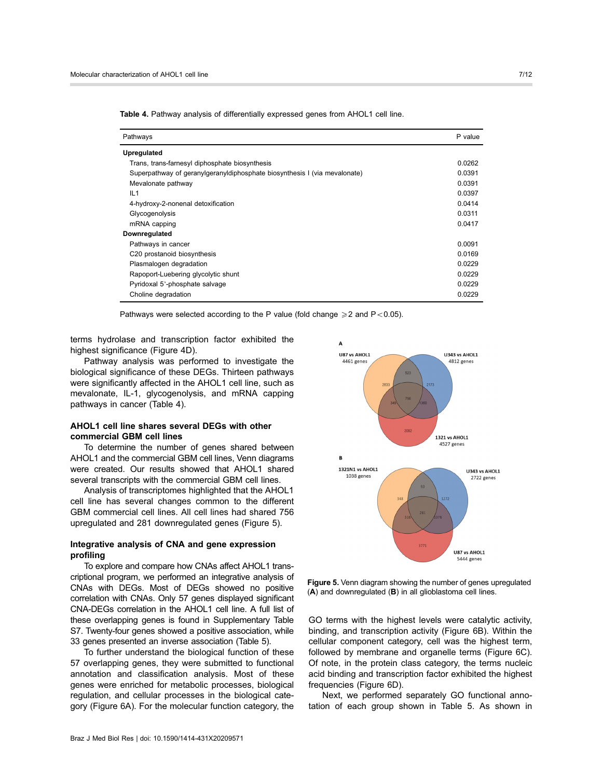| Pathways                                                                  | P value |
|---------------------------------------------------------------------------|---------|
| <b>Upregulated</b>                                                        |         |
| Trans, trans-farnesyl diphosphate biosynthesis                            | 0.0262  |
| Superpathway of geranylgeranyldiphosphate biosynthesis I (via mevalonate) | 0.0391  |
| Mevalonate pathway                                                        | 0.0391  |
| IL1                                                                       | 0.0397  |
| 4-hydroxy-2-nonenal detoxification                                        | 0.0414  |
| Glycogenolysis                                                            | 0.0311  |
| mRNA capping                                                              | 0.0417  |
| Downregulated                                                             |         |
| Pathways in cancer                                                        | 0.0091  |
| C20 prostanoid biosynthesis                                               | 0.0169  |
| Plasmalogen degradation                                                   | 0.0229  |
| Rapoport-Luebering glycolytic shunt                                       | 0.0229  |
| Pyridoxal 5'-phosphate salvage                                            | 0.0229  |
| Choline degradation                                                       | 0.0229  |

Table 4. Pathway analysis of differentially expressed genes from AHOL1 cell line.

Pathways were selected according to the P value (fold change  $\geq 2$  and P < 0.05).

terms hydrolase and transcription factor exhibited the highest significance (Figure 4D).

Pathway analysis was performed to investigate the biological significance of these DEGs. Thirteen pathways were significantly affected in the AHOL1 cell line, such as mevalonate, IL-1, glycogenolysis, and mRNA capping pathways in cancer (Table 4).

# AHOL1 cell line shares several DEGs with other commercial GBM cell lines

To determine the number of genes shared between AHOL1 and the commercial GBM cell lines, Venn diagrams were created. Our results showed that AHOL1 shared several transcripts with the commercial GBM cell lines.

Analysis of transcriptomes highlighted that the AHOL1 cell line has several changes common to the different GBM commercial cell lines. All cell lines had shared 756 upregulated and 281 downregulated genes (Figure 5).

# Integrative analysis of CNA and gene expression profiling

To explore and compare how CNAs affect AHOL1 transcriptional program, we performed an integrative analysis of CNAs with DEGs. Most of DEGs showed no positive correlation with CNAs. Only 57 genes displayed significant CNA-DEGs correlation in the AHOL1 cell line. A full list of these overlapping genes is found in Supplementary Table S7. Twenty-four genes showed a positive association, while 33 genes presented an inverse association (Table 5).

To further understand the biological function of these 57 overlapping genes, they were submitted to functional annotation and classification analysis. Most of these genes were enriched for metabolic processes, biological regulation, and cellular processes in the biological category (Figure 6A). For the molecular function category, the



Figure 5. Venn diagram showing the number of genes upregulated (A) and downregulated (B) in all glioblastoma cell lines.

GO terms with the highest levels were catalytic activity, binding, and transcription activity (Figure 6B). Within the cellular component category, cell was the highest term, followed by membrane and organelle terms (Figure 6C). Of note, in the protein class category, the terms nucleic acid binding and transcription factor exhibited the highest frequencies (Figure 6D).

Next, we performed separately GO functional annotation of each group shown in Table 5. As shown in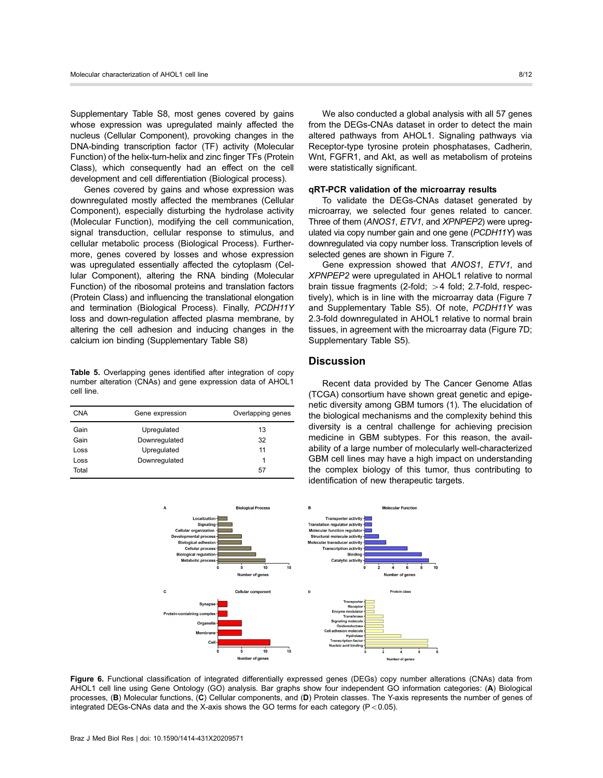Supplementary Table S8, most genes covered by gains whose expression was upregulated mainly affected the nucleus (Cellular Component), provoking changes in the DNA-binding transcription factor (TF) activity (Molecular Function) of the helix-turn-helix and zinc finger TFs (Protein Class), which consequently had an effect on the cell development and cell differentiation (Biological process).

Genes covered by gains and whose expression was downregulated mostly affected the membranes (Cellular Component), especially disturbing the hydrolase activity (Molecular Function), modifying the cell communication, signal transduction, cellular response to stimulus, and cellular metabolic process (Biological Process). Furthermore, genes covered by losses and whose expression was upregulated essentially affected the cytoplasm (Cellular Component), altering the RNA binding (Molecular Function) of the ribosomal proteins and translation factors (Protein Class) and influencing the translational elongation and termination (Biological Process). Finally, PCDH11Y loss and down-regulation affected plasma membrane, by altering the cell adhesion and inducing changes in the calcium ion binding (Supplementary Table S8)

Table 5. Overlapping genes identified after integration of copy number alteration (CNAs) and gene expression data of AHOL1 cell line.

| <b>CNA</b> | Gene expression | Overlapping genes |
|------------|-----------------|-------------------|
| Gain       | Upregulated     | 13                |
| Gain       | Downregulated   | 32                |
| Loss       | Upregulated     | 11                |
| Loss       | Downregulated   | 1                 |
| Total      |                 | 57                |

We also conducted a global analysis with all 57 genes from the DEGs-CNAs dataset in order to detect the main altered pathways from AHOL1. Signaling pathways via Receptor-type tyrosine protein phosphatases, Cadherin, Wnt, FGFR1, and Akt, as well as metabolism of proteins were statistically significant.

## qRT-PCR validation of the microarray results

To validate the DEGs-CNAs dataset generated by microarray, we selected four genes related to cancer. Three of them (ANOS1, ETV1, and XPNPEP2) were uprequlated via copy number gain and one gene (PCDH11Y) was downregulated via copy number loss. Transcription levels of selected genes are shown in Figure 7.

Gene expression showed that ANOS1, ETV1, and XPNPEP2 were upregulated in AHOL1 relative to normal brain tissue fragments (2-fold;  $>4$  fold; 2.7-fold, respectively), which is in line with the microarray data (Figure 7 and Supplementary Table S5). Of note, PCDH11Y was 2.3-fold downregulated in AHOL1 relative to normal brain tissues, in agreement with the microarray data (Figure 7D; Supplementary Table S5).

# **Discussion**

Recent data provided by The Cancer Genome Atlas (TCGA) consortium have shown great genetic and epigenetic diversity among GBM tumors (1). The elucidation of the biological mechanisms and the complexity behind this diversity is a central challenge for achieving precision medicine in GBM subtypes. For this reason, the availability of a large number of molecularly well-characterized GBM cell lines may have a high impact on understanding the complex biology of this tumor, thus contributing to identification of new therapeutic targets.



Figure 6. Functional classification of integrated differentially expressed genes (DEGs) copy number alterations (CNAs) data from AHOL1 cell line using Gene Ontology (GO) analysis. Bar graphs show four independent GO information categories: (A) Biological processes, (B) Molecular functions, (C) Cellular components, and (D) Protein classes. The Y-axis represents the number of genes of integrated DEGs-CNAs data and the X-axis shows the GO terms for each category  $(P<0.05)$ .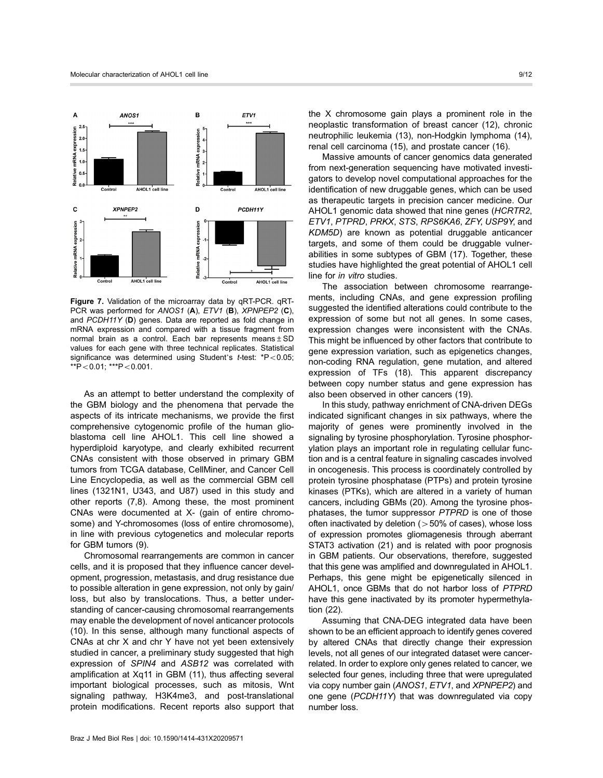

Figure 7. Validation of the microarray data by qRT-PCR. qRT-PCR was performed for ANOS1 (A), ETV1 (B), XPNPEP2 (C), and PCDH11Y (D) genes. Data are reported as fold change in mRNA expression and compared with a tissue fragment from normal brain as a control. Each bar represents means $\pm$ SD values for each gene with three technical replicates. Statistical significance was determined using Student's  $t$ -test:  $*P < 0.05$ ;  $*$  $+$ P $<$ 0.01;  $*$  $*$  $+$ P $<$ 0.001.

As an attempt to better understand the complexity of the GBM biology and the phenomena that pervade the aspects of its intricate mechanisms, we provide the first comprehensive cytogenomic profile of the human glioblastoma cell line AHOL1. This cell line showed a hyperdiploid karyotype, and clearly exhibited recurrent CNAs consistent with those observed in primary GBM tumors from TCGA database, CellMiner, and Cancer Cell Line Encyclopedia, as well as the commercial GBM cell lines (1321N1, U343, and U87) used in this study and other reports (7,8). Among these, the most prominent CNAs were documented at X- (gain of entire chromosome) and Y-chromosomes (loss of entire chromosome), in line with previous cytogenetics and molecular reports for GBM tumors (9).

Chromosomal rearrangements are common in cancer cells, and it is proposed that they influence cancer development, progression, metastasis, and drug resistance due to possible alteration in gene expression, not only by gain/ loss, but also by translocations. Thus, a better understanding of cancer-causing chromosomal rearrangements may enable the development of novel anticancer protocols (10). In this sense, although many functional aspects of CNAs at chr X and chr Y have not yet been extensively studied in cancer, a preliminary study suggested that high expression of SPIN4 and ASB12 was correlated with amplification at Xq11 in GBM (11), thus affecting several important biological processes, such as mitosis, Wnt signaling pathway, H3K4me3, and post-translational protein modifications. Recent reports also support that

the X chromosome gain plays a prominent role in the neoplastic transformation of breast cancer (12), chronic neutrophilic leukemia (13), non-Hodgkin lymphoma (14), renal cell carcinoma (15), and prostate cancer (16).

Massive amounts of cancer genomics data generated from next-generation sequencing have motivated investigators to develop novel computational approaches for the identification of new druggable genes, which can be used as therapeutic targets in precision cancer medicine. Our AHOL1 genomic data showed that nine genes (HCRTR2, ETV1, PTPRD, PRKX, STS, RPS6KA6, ZFY, USP9Y, and KDM5D) are known as potential druggable anticancer targets, and some of them could be druggable vulnerabilities in some subtypes of GBM (17). Together, these studies have highlighted the great potential of AHOL1 cell line for in vitro studies.

The association between chromosome rearrangements, including CNAs, and gene expression profiling suggested the identified alterations could contribute to the expression of some but not all genes. In some cases, expression changes were inconsistent with the CNAs. This might be influenced by other factors that contribute to gene expression variation, such as epigenetics changes, non-coding RNA regulation, gene mutation, and altered expression of TFs (18). This apparent discrepancy between copy number status and gene expression has also been observed in other cancers (19).

In this study, pathway enrichment of CNA-driven DEGs indicated significant changes in six pathways, where the majority of genes were prominently involved in the signaling by tyrosine phosphorylation. Tyrosine phosphorylation plays an important role in regulating cellular function and is a central feature in signaling cascades involved in oncogenesis. This process is coordinately controlled by protein tyrosine phosphatase (PTPs) and protein tyrosine kinases (PTKs), which are altered in a variety of human cancers, including GBMs (20). Among the tyrosine phosphatases, the tumor suppressor PTPRD is one of those often inactivated by deletion  $(>50\%$  of cases), whose loss of expression promotes gliomagenesis through aberrant STAT3 activation (21) and is related with poor prognosis in GBM patients. Our observations, therefore, suggested that this gene was amplified and downregulated in AHOL1. Perhaps, this gene might be epigenetically silenced in AHOL1, once GBMs that do not harbor loss of PTPRD have this gene inactivated by its promoter hypermethylation (22).

Assuming that CNA-DEG integrated data have been shown to be an efficient approach to identify genes covered by altered CNAs that directly change their expression levels, not all genes of our integrated dataset were cancerrelated. In order to explore only genes related to cancer, we selected four genes, including three that were upregulated via copy number gain (ANOS1, ETV1, and XPNPEP2) and one gene (PCDH11Y) that was downregulated via copy number loss.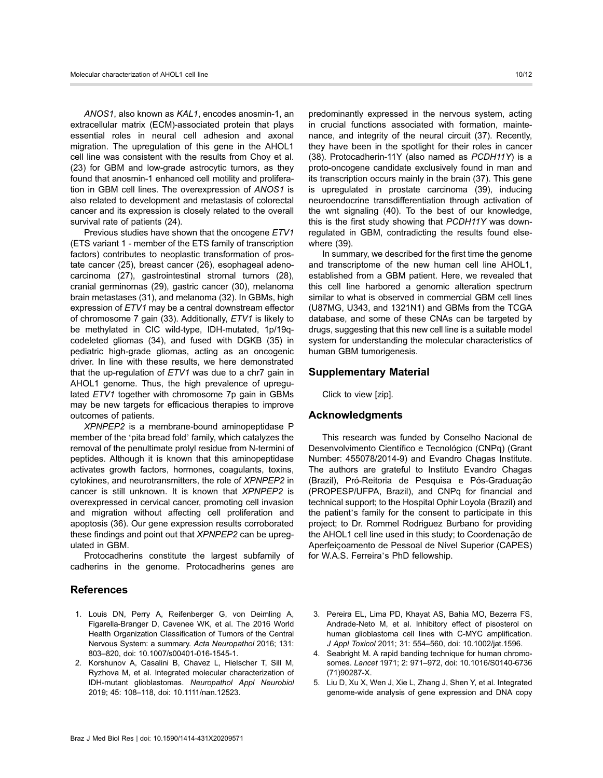ANOS1, also known as KAL1, encodes anosmin-1, an extracellular matrix (ECM)-associated protein that plays essential roles in neural cell adhesion and axonal migration. The upregulation of this gene in the AHOL1 cell line was consistent with the results from Choy et al. (23) for GBM and low-grade astrocytic tumors, as they found that anosmin-1 enhanced cell motility and proliferation in GBM cell lines. The overexpression of ANOS1 is also related to development and metastasis of colorectal cancer and its expression is closely related to the overall survival rate of patients (24).

Previous studies have shown that the oncogene ETV1 (ETS variant 1 - member of the ETS family of transcription factors) contributes to neoplastic transformation of prostate cancer (25), breast cancer (26), esophageal adenocarcinoma (27), gastrointestinal stromal tumors (28), cranial germinomas (29), gastric cancer (30), melanoma brain metastases (31), and melanoma (32). In GBMs, high expression of ETV1 may be a central downstream effector of chromosome 7 gain (33). Additionally, ETV1 is likely to be methylated in CIC wild-type, IDH-mutated, 1p/19qcodeleted gliomas (34), and fused with DGKB (35) in pediatric high-grade gliomas, acting as an oncogenic driver. In line with these results, we here demonstrated that the up-regulation of  $ETV1$  was due to a chr7 gain in AHOL1 genome. Thus, the high prevalence of upregulated ETV1 together with chromosome 7p gain in GBMs may be new targets for efficacious therapies to improve outcomes of patients.

XPNPEP2 is a membrane-bound aminopeptidase P member of the 'pita bread fold' family, which catalyzes the removal of the penultimate prolyl residue from N-termini of peptides. Although it is known that this aminopeptidase activates growth factors, hormones, coagulants, toxins, cytokines, and neurotransmitters, the role of XPNPEP2 in cancer is still unknown. It is known that XPNPEP2 is overexpressed in cervical cancer, promoting cell invasion and migration without affecting cell proliferation and apoptosis (36). Our gene expression results corroborated these findings and point out that XPNPEP2 can be upregulated in GBM.

Protocadherins constitute the largest subfamily of cadherins in the genome. Protocadherins genes are

# References

- 1. Louis DN, Perry A, Reifenberger G, von Deimling A, Figarella-Branger D, Cavenee WK, et al. The 2016 World Health Organization Classification of Tumors of the Central Nervous System: a summary. Acta Neuropathol 2016; 131: 803–820, doi: [10.1007/s00401-016-1545-1](http://dx.doi.org/10.1007/s00401-016-1545-1).
- 2. Korshunov A, Casalini B, Chavez L, Hielscher T, Sill M, Ryzhova M, et al. Integrated molecular characterization of IDH-mutant glioblastomas. Neuropathol Appl Neurobiol 2019; 45: 108–118, doi: [10.1111/nan.12523](http://dx.doi.org/10.1111/nan.12523).

predominantly expressed in the nervous system, acting in crucial functions associated with formation, maintenance, and integrity of the neural circuit (37). Recently, they have been in the spotlight for their roles in cancer (38). Protocadherin-11Y (also named as PCDH11Y) is a proto-oncogene candidate exclusively found in man and its transcription occurs mainly in the brain (37). This gene is upregulated in prostate carcinoma (39), inducing neuroendocrine transdifferentiation through activation of the wnt signaling (40). To the best of our knowledge, this is the first study showing that PCDH11Y was downregulated in GBM, contradicting the results found elsewhere (39).

In summary, we described for the first time the genome and transcriptome of the new human cell line AHOL1, established from a GBM patient. Here, we revealed that this cell line harbored a genomic alteration spectrum similar to what is observed in commercial GBM cell lines (U87MG, U343, and 1321N1) and GBMs from the TCGA database, and some of these CNAs can be targeted by drugs, suggesting that this new cell line is a suitable model system for understanding the molecular characteristics of human GBM tumorigenesis.

## Supplementary Material

Click to view [\[zip\]](http://bjournal.org/supplementary_material/9571.zip).

## Acknowledgments

This research was funded by Conselho Nacional de Desenvolvimento Científico e Tecnológico (CNPq) (Grant Number: 455078/2014-9) and Evandro Chagas Institute. The authors are grateful to Instituto Evandro Chagas (Brazil), Pró-Reitoria de Pesquisa e Pós-Graduação (PROPESP/UFPA, Brazil), and CNPq for financial and technical support; to the Hospital Ophir Loyola (Brazil) and the patient's family for the consent to participate in this project; to Dr. Rommel Rodriguez Burbano for providing the AHOL1 cell line used in this study; to Coordenação de Aperfeiçoamento de Pessoal de Nível Superior (CAPES) for W.A.S. Ferreira's PhD fellowship.

- 3. Pereira EL, Lima PD, Khayat AS, Bahia MO, Bezerra FS, Andrade-Neto M, et al. Inhibitory effect of pisosterol on human glioblastoma cell lines with C-MYC amplification. J Appl Toxicol 2011; 31: 554–560, doi: [10.1002/jat.1596.](http://dx.doi.org/10.1002/jat.1596)
- 4. Seabright M. A rapid banding technique for human chromosomes. Lancet 1971; 2: 971–972, doi: [10.1016/S0140-6736](http://dx.doi.org/10.1016/S0140-6736(71)90287-X) [\(71\)90287-X.](http://dx.doi.org/10.1016/S0140-6736(71)90287-X)
- 5. Liu D, Xu X, Wen J, Xie L, Zhang J, Shen Y, et al. Integrated genome-wide analysis of gene expression and DNA copy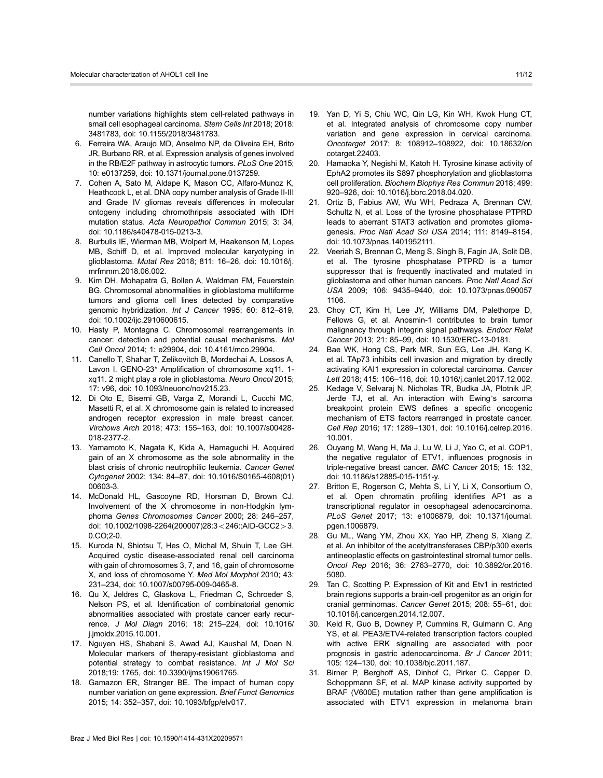number variations highlights stem cell-related pathways in small cell esophageal carcinoma. Stem Cells Int 2018; 2018: 3481783, doi: [10.1155/2018/3481783](http://dx.doi.org/10.1155/2018/3481783).

- 6. Ferreira WA, Araujo MD, Anselmo NP, de Oliveira EH, Brito JR, Burbano RR, et al. Expression analysis of genes involved in the RB/E2F pathway in astrocytic tumors. PLoS One 2015; 10: e0137259, doi: [10.1371/journal.pone.0137259](http://dx.doi.org/10.1371/journal.pone.0137259).
- 7. Cohen A, Sato M, Aldape K, Mason CC, Alfaro-Munoz K, Heathcock L, et al. DNA copy number analysis of Grade II-III and Grade IV gliomas reveals differences in molecular ontogeny including chromothripsis associated with IDH mutation status. Acta Neuropathol Commun 2015; 3: 34, doi: [10.1186/s40478-015-0213-3.](http://dx.doi.org/10.1186/s40478-015-0213-3)
- 8. Burbulis IE, Wierman MB, Wolpert M, Haakenson M, Lopes MB, Schiff D, et al. Improved molecular karyotyping in glioblastoma. Mutat Res 2018; 811: 16–26, doi: [10.1016/j.](http://dx.doi.org/10.1016/j.mrfmmm.2018.06.002) [mrfmmm.2018.06.002.](http://dx.doi.org/10.1016/j.mrfmmm.2018.06.002)
- 9. Kim DH, Mohapatra G, Bollen A, Waldman FM, Feuerstein BG. Chromosomal abnormalities in glioblastoma multiforme tumors and glioma cell lines detected by comparative genomic hybridization. Int J Cancer 1995; 60: 812-819, doi: [10.1002/ijc.2910600615](http://dx.doi.org/10.1002/ijc.2910600615).
- 10. Hasty P, Montagna C. Chromosomal rearrangements in cancer: detection and potential causal mechanisms. Mol Cell Oncol 2014; 1: e29904, doi: [10.4161/mco.29904](http://dx.doi.org/10.4161/mco.29904).
- 11. Canello T, Shahar T, Zelikovitch B, Mordechai A, Lossos A, Lavon I. GENO-23\* Amplification of chromosome xq11. 1 xq11. 2 might play a role in glioblastoma. Neuro Oncol 2015; 17: v96, doi: [10.1093/neuonc/nov215.23.](http://dx.doi.org/10.1093/neuonc/nov215.23)
- 12. Di Oto E, Biserni GB, Varga Z, Morandi L, Cucchi MC, Masetti R, et al. X chromosome gain is related to increased androgen receptor expression in male breast cancer. Virchows Arch 2018; 473: 155–163, doi: [10.1007/s00428-](http://dx.doi.org/10.1007/s00428-018-2377-2) [018-2377-2](http://dx.doi.org/10.1007/s00428-018-2377-2).
- 13. Yamamoto K, Nagata K, Kida A, Hamaguchi H. Acquired gain of an X chromosome as the sole abnormality in the blast crisis of chronic neutrophilic leukemia. Cancer Genet Cytogenet 2002; 134: 84–87, doi: [10.1016/S0165-4608\(01\)](http://dx.doi.org/10.1016/S0165-4608(01)00603-3) [00603-3.](http://dx.doi.org/10.1016/S0165-4608(01)00603-3)
- 14. McDonald HL, Gascoyne RD, Horsman D, Brown CJ. Involvement of the X chromosome in non-Hodgkin lymphoma Genes Chromosomes Cancer 2000; 28: 246–257, doi: [10.1002/1098-2264\(200007\)28:3](http://dx.doi.org/10.1002/1098-2264(200007)28:3<246::AID-GCC2>3.0.CO;2-0)<246::AID-GCC2>3. [0.CO;2-0.](http://dx.doi.org/10.1002/1098-2264(200007)28:3<246::AID-GCC2>3.0.CO;2-0)
- 15. Kuroda N, Shiotsu T, Hes O, Michal M, Shuin T, Lee GH. Acquired cystic disease-associated renal cell carcinoma with gain of chromosomes 3, 7, and 16, gain of chromosome X, and loss of chromosome Y. Med Mol Morphol 2010; 43: 231–234, doi: [10.1007/s00795-009-0465-8](http://dx.doi.org/10.1007/s00795-009-0465-8).
- 16. Qu X, Jeldres C, Glaskova L, Friedman C, Schroeder S, Nelson PS, et al. Identification of combinatorial genomic abnormalities associated with prostate cancer early recurrence. J Mol Diagn 2016; 18: 215–224, doi: [10.1016/](http://dx.doi.org/10.1016/j.jmoldx.2015.10.001) [j.jmoldx.2015.10.001.](http://dx.doi.org/10.1016/j.jmoldx.2015.10.001)
- 17. Nguyen HS, Shabani S, Awad AJ, Kaushal M, Doan N. Molecular markers of therapy-resistant glioblastoma and potential strategy to combat resistance. Int J Mol Sci 2018;19: 1765, doi: [10.3390/ijms19061765.](http://dx.doi.org/10.3390/ijms19061765)
- 18. Gamazon ER, Stranger BE. The impact of human copy number variation on gene expression. Brief Funct Genomics 2015; 14: 352–357, doi: [10.1093/bfgp/elv017](http://dx.doi.org/10.1093/bfgp/elv017).
- 19. Yan D, Yi S, Chiu WC, Qin LG, Kin WH, Kwok Hung CT, et al. Integrated analysis of chromosome copy number variation and gene expression in cervical carcinoma. Oncotarget 2017; 8: 108912–108922, doi: [10.18632/on](http://dx.doi.org/10.18632/oncotarget.22403) [cotarget.22403](http://dx.doi.org/10.18632/oncotarget.22403).
- 20. Hamaoka Y, Negishi M, Katoh H. Tyrosine kinase activity of EphA2 promotes its S897 phosphorylation and glioblastoma cell proliferation. Biochem Biophys Res Commun 2018; 499: 920–926, doi: [10.1016/j.bbrc.2018.04.020.](http://dx.doi.org/10.1016/j.bbrc.2018.04.020)
- 21. Ortiz B, Fabius AW, Wu WH, Pedraza A, Brennan CW, Schultz N, et al. Loss of the tyrosine phosphatase PTPRD leads to aberrant STAT3 activation and promotes gliomagenesis. Proc Natl Acad Sci USA 2014; 111: 8149–8154, doi: [10.1073/pnas.1401952111.](http://dx.doi.org/10.1073/pnas.1401952111)
- 22. Veeriah S, Brennan C, Meng S, Singh B, Fagin JA, Solit DB, et al. The tyrosine phosphatase PTPRD is a tumor suppressor that is frequently inactivated and mutated in glioblastoma and other human cancers. Proc Natl Acad Sci USA 2009; 106: 9435–9440, doi: [10.1073/pnas.090057](http://dx.doi.org/10.1073/pnas.0900571106) [1106.](http://dx.doi.org/10.1073/pnas.0900571106)
- 23. Choy CT, Kim H, Lee JY, Williams DM, Palethorpe D, Fellows G, et al. Anosmin-1 contributes to brain tumor malignancy through integrin signal pathways. Endocr Relat Cancer 2013; 21: 85–99, doi: [10.1530/ERC-13-0181.](http://dx.doi.org/10.1530/ERC-13-0181)
- 24. Bae WK, Hong CS, Park MR, Sun EG, Lee JH, Kang K, et al. TAp73 inhibits cell invasion and migration by directly activating KAI1 expression in colorectal carcinoma. Cancer Lett 2018; 415: 106–116, doi: [10.1016/j.canlet.2017.12.002.](http://dx.doi.org/10.1016/j.canlet.2017.12.002)
- 25. Kedage V, Selvaraj N, Nicholas TR, Budka JA, Plotnik JP, Jerde TJ, et al. An interaction with Ewing's sarcoma breakpoint protein EWS defines a specific oncogenic mechanism of ETS factors rearranged in prostate cancer. Cell Rep 2016; 17: 1289–1301, doi: [10.1016/j.celrep.2016.](http://dx.doi.org/10.1016/j.celrep.2016.10.001) [10.001](http://dx.doi.org/10.1016/j.celrep.2016.10.001).
- 26. Ouyang M, Wang H, Ma J, Lu W, Li J, Yao C, et al. COP1, the negative regulator of ETV1, influences prognosis in triple-negative breast cancer. BMC Cancer 2015; 15: 132, doi: [10.1186/s12885-015-1151-y.](http://dx.doi.org/10.1186/s12885-015-1151-y)
- 27. Britton E, Rogerson C, Mehta S, Li Y, Li X, Consortium O, et al. Open chromatin profiling identifies AP1 as a transcriptional regulator in oesophageal adenocarcinoma. PLoS Genet 2017; 13: e1006879, doi: [10.1371/journal.](http://dx.doi.org/10.1371/journal.pgen.1006879) [pgen.1006879](http://dx.doi.org/10.1371/journal.pgen.1006879).
- 28. Gu ML, Wang YM, Zhou XX, Yao HP, Zheng S, Xiang Z, et al. An inhibitor of the acetyltransferases CBP/p300 exerts antineoplastic effects on gastrointestinal stromal tumor cells. Oncol Rep 2016; 36: 2763–2770, doi: [10.3892/or.2016.](http://dx.doi.org/10.3892/or.2016.5080) [5080.](http://dx.doi.org/10.3892/or.2016.5080)
- 29. Tan C, Scotting P. Expression of Kit and Etv1 in restricted brain regions supports a brain-cell progenitor as an origin for cranial germinomas. Cancer Genet 2015; 208: 55–61, doi: [10.1016/j.cancergen.2014.12.007](http://dx.doi.org/10.1016/j.cancergen.2014.12.007).
- 30. Keld R, Guo B, Downey P, Cummins R, Gulmann C, Ang YS, et al. PEA3/ETV4-related transcription factors coupled with active ERK signalling are associated with poor prognosis in gastric adenocarcinoma. Br J Cancer 2011; 105: 124–130, doi: [10.1038/bjc.2011.187](http://dx.doi.org/10.1038/bjc.2011.187).
- 31. Birner P, Berghoff AS, Dinhof C, Pirker C, Capper D, Schoppmann SF, et al. MAP kinase activity supported by BRAF (V600E) mutation rather than gene amplification is associated with ETV1 expression in melanoma brain